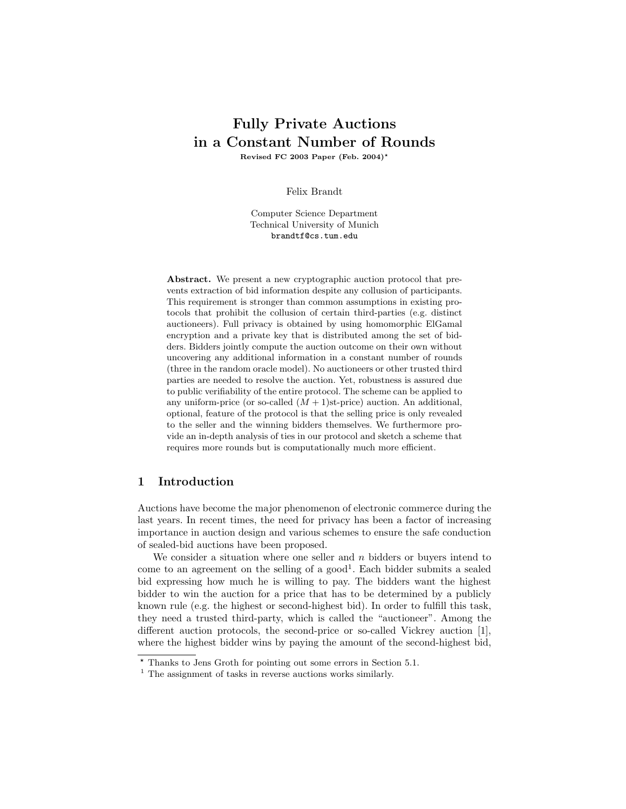# Fully Private Auctions in a Constant Number of Rounds

Revised FC 2003 Paper (Feb. 2004)<sup>\*</sup>

Felix Brandt

Computer Science Department Technical University of Munich brandtf@cs.tum.edu

Abstract. We present a new cryptographic auction protocol that prevents extraction of bid information despite any collusion of participants. This requirement is stronger than common assumptions in existing protocols that prohibit the collusion of certain third-parties (e.g. distinct auctioneers). Full privacy is obtained by using homomorphic ElGamal encryption and a private key that is distributed among the set of bidders. Bidders jointly compute the auction outcome on their own without uncovering any additional information in a constant number of rounds (three in the random oracle model). No auctioneers or other trusted third parties are needed to resolve the auction. Yet, robustness is assured due to public verifiability of the entire protocol. The scheme can be applied to any uniform-price (or so-called  $(M + 1)$ st-price) auction. An additional, optional, feature of the protocol is that the selling price is only revealed to the seller and the winning bidders themselves. We furthermore provide an in-depth analysis of ties in our protocol and sketch a scheme that requires more rounds but is computationally much more efficient.

# 1 Introduction

Auctions have become the major phenomenon of electronic commerce during the last years. In recent times, the need for privacy has been a factor of increasing importance in auction design and various schemes to ensure the safe conduction of sealed-bid auctions have been proposed.

We consider a situation where one seller and  $n$  bidders or buyers intend to come to an agreement on the selling of a good<sup>1</sup>. Each bidder submits a sealed bid expressing how much he is willing to pay. The bidders want the highest bidder to win the auction for a price that has to be determined by a publicly known rule (e.g. the highest or second-highest bid). In order to fulfill this task, they need a trusted third-party, which is called the "auctioneer". Among the different auction protocols, the second-price or so-called Vickrey auction [1], where the highest bidder wins by paying the amount of the second-highest bid,

<sup>⋆</sup> Thanks to Jens Groth for pointing out some errors in Section 5.1.

 $1$  The assignment of tasks in reverse auctions works similarly.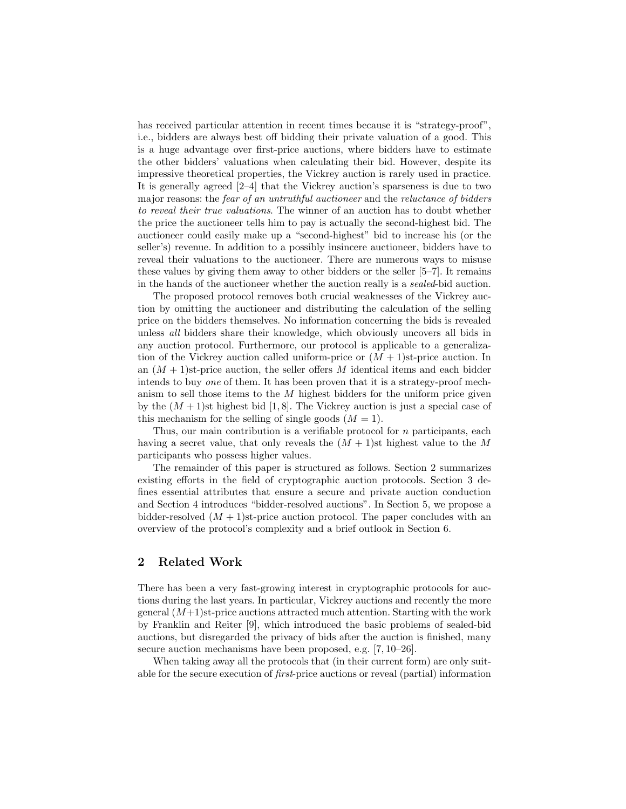has received particular attention in recent times because it is "strategy-proof". i.e., bidders are always best off bidding their private valuation of a good. This is a huge advantage over first-price auctions, where bidders have to estimate the other bidders' valuations when calculating their bid. However, despite its impressive theoretical properties, the Vickrey auction is rarely used in practice. It is generally agreed [2–4] that the Vickrey auction's sparseness is due to two major reasons: the *fear of an untruthful auctioneer* and the *reluctance of bidders* to reveal their true valuations. The winner of an auction has to doubt whether the price the auctioneer tells him to pay is actually the second-highest bid. The auctioneer could easily make up a "second-highest" bid to increase his (or the seller's) revenue. In addition to a possibly insincere auctioneer, bidders have to reveal their valuations to the auctioneer. There are numerous ways to misuse these values by giving them away to other bidders or the seller [5–7]. It remains in the hands of the auctioneer whether the auction really is a sealed-bid auction.

The proposed protocol removes both crucial weaknesses of the Vickrey auction by omitting the auctioneer and distributing the calculation of the selling price on the bidders themselves. No information concerning the bids is revealed unless all bidders share their knowledge, which obviously uncovers all bids in any auction protocol. Furthermore, our protocol is applicable to a generalization of the Vickrey auction called uniform-price or  $(M + 1)$ st-price auction. In an  $(M + 1)$ st-price auction, the seller offers M identical items and each bidder intends to buy one of them. It has been proven that it is a strategy-proof mechanism to sell those items to the  $M$  highest bidders for the uniform price given by the  $(M + 1)$ st highest bid [1, 8]. The Vickrey auction is just a special case of this mechanism for the selling of single goods  $(M = 1)$ .

Thus, our main contribution is a verifiable protocol for n participants, each having a secret value, that only reveals the  $(M + 1)$ st highest value to the M participants who possess higher values.

The remainder of this paper is structured as follows. Section 2 summarizes existing efforts in the field of cryptographic auction protocols. Section 3 defines essential attributes that ensure a secure and private auction conduction and Section 4 introduces "bidder-resolved auctions". In Section 5, we propose a bidder-resolved  $(M + 1)$ st-price auction protocol. The paper concludes with an overview of the protocol's complexity and a brief outlook in Section 6.

# 2 Related Work

There has been a very fast-growing interest in cryptographic protocols for auctions during the last years. In particular, Vickrey auctions and recently the more general  $(M+1)$ st-price auctions attracted much attention. Starting with the work by Franklin and Reiter [9], which introduced the basic problems of sealed-bid auctions, but disregarded the privacy of bids after the auction is finished, many secure auction mechanisms have been proposed, e.g. [7, 10–26].

When taking away all the protocols that (in their current form) are only suitable for the secure execution of first-price auctions or reveal (partial) information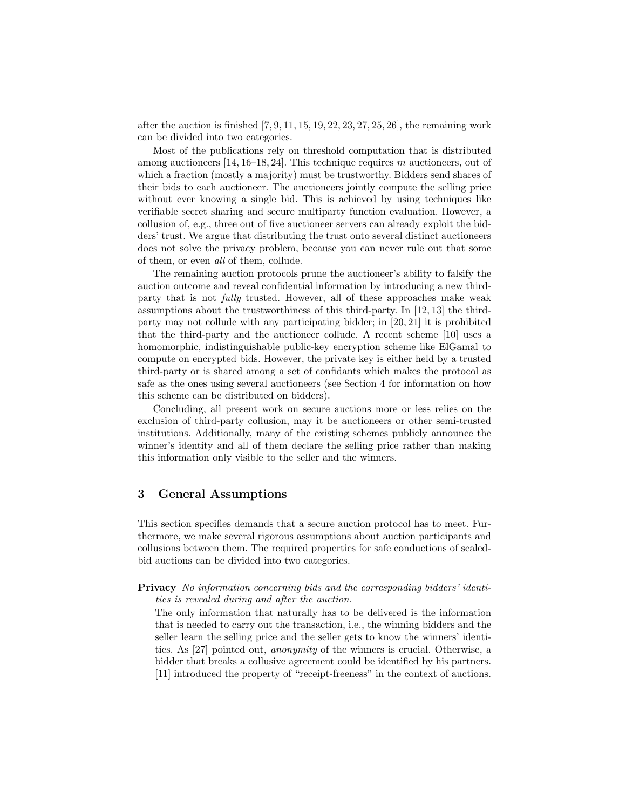after the auction is finished  $[7, 9, 11, 15, 19, 22, 23, 27, 25, 26]$ , the remaining work can be divided into two categories.

Most of the publications rely on threshold computation that is distributed among auctioneers [14, 16–18, 24]. This technique requires m auctioneers, out of which a fraction (mostly a majority) must be trustworthy. Bidders send shares of their bids to each auctioneer. The auctioneers jointly compute the selling price without ever knowing a single bid. This is achieved by using techniques like verifiable secret sharing and secure multiparty function evaluation. However, a collusion of, e.g., three out of five auctioneer servers can already exploit the bidders' trust. We argue that distributing the trust onto several distinct auctioneers does not solve the privacy problem, because you can never rule out that some of them, or even all of them, collude.

The remaining auction protocols prune the auctioneer's ability to falsify the auction outcome and reveal confidential information by introducing a new thirdparty that is not fully trusted. However, all of these approaches make weak assumptions about the trustworthiness of this third-party. In [12, 13] the thirdparty may not collude with any participating bidder; in [20, 21] it is prohibited that the third-party and the auctioneer collude. A recent scheme [10] uses a homomorphic, indistinguishable public-key encryption scheme like ElGamal to compute on encrypted bids. However, the private key is either held by a trusted third-party or is shared among a set of confidants which makes the protocol as safe as the ones using several auctioneers (see Section 4 for information on how this scheme can be distributed on bidders).

Concluding, all present work on secure auctions more or less relies on the exclusion of third-party collusion, may it be auctioneers or other semi-trusted institutions. Additionally, many of the existing schemes publicly announce the winner's identity and all of them declare the selling price rather than making this information only visible to the seller and the winners.

# 3 General Assumptions

This section specifies demands that a secure auction protocol has to meet. Furthermore, we make several rigorous assumptions about auction participants and collusions between them. The required properties for safe conductions of sealedbid auctions can be divided into two categories.

#### Privacy No information concerning bids and the corresponding bidders' identities is revealed during and after the auction.

The only information that naturally has to be delivered is the information that is needed to carry out the transaction, i.e., the winning bidders and the seller learn the selling price and the seller gets to know the winners' identities. As [27] pointed out, anonymity of the winners is crucial. Otherwise, a bidder that breaks a collusive agreement could be identified by his partners. [11] introduced the property of "receipt-freeness" in the context of auctions.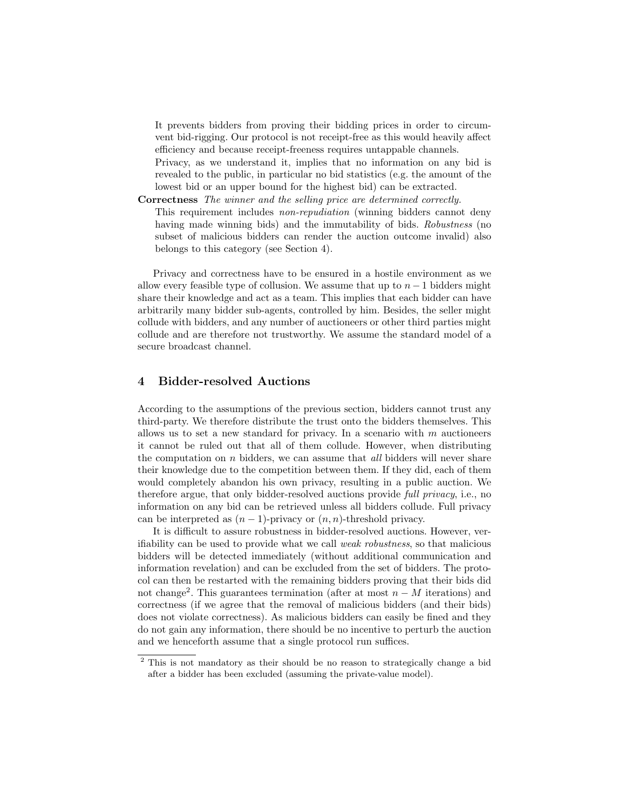It prevents bidders from proving their bidding prices in order to circumvent bid-rigging. Our protocol is not receipt-free as this would heavily affect efficiency and because receipt-freeness requires untappable channels.

Privacy, as we understand it, implies that no information on any bid is revealed to the public, in particular no bid statistics (e.g. the amount of the lowest bid or an upper bound for the highest bid) can be extracted.

- Correctness The winner and the selling price are determined correctly.
	- This requirement includes non-repudiation (winning bidders cannot deny having made winning bids) and the immutability of bids. Robustness (no subset of malicious bidders can render the auction outcome invalid) also belongs to this category (see Section 4).

Privacy and correctness have to be ensured in a hostile environment as we allow every feasible type of collusion. We assume that up to  $n-1$  bidders might share their knowledge and act as a team. This implies that each bidder can have arbitrarily many bidder sub-agents, controlled by him. Besides, the seller might collude with bidders, and any number of auctioneers or other third parties might collude and are therefore not trustworthy. We assume the standard model of a secure broadcast channel.

### 4 Bidder-resolved Auctions

According to the assumptions of the previous section, bidders cannot trust any third-party. We therefore distribute the trust onto the bidders themselves. This allows us to set a new standard for privacy. In a scenario with  $m$  auctioneers it cannot be ruled out that all of them collude. However, when distributing the computation on  $n$  bidders, we can assume that *all* bidders will never share their knowledge due to the competition between them. If they did, each of them would completely abandon his own privacy, resulting in a public auction. We therefore argue, that only bidder-resolved auctions provide full privacy, i.e., no information on any bid can be retrieved unless all bidders collude. Full privacy can be interpreted as  $(n-1)$ -privacy or  $(n, n)$ -threshold privacy.

It is difficult to assure robustness in bidder-resolved auctions. However, verifiability can be used to provide what we call weak robustness, so that malicious bidders will be detected immediately (without additional communication and information revelation) and can be excluded from the set of bidders. The protocol can then be restarted with the remaining bidders proving that their bids did not change<sup>2</sup>. This guarantees termination (after at most  $n - M$  iterations) and correctness (if we agree that the removal of malicious bidders (and their bids) does not violate correctness). As malicious bidders can easily be fined and they do not gain any information, there should be no incentive to perturb the auction and we henceforth assume that a single protocol run suffices.

<sup>&</sup>lt;sup>2</sup> This is not mandatory as their should be no reason to strategically change a bid after a bidder has been excluded (assuming the private-value model).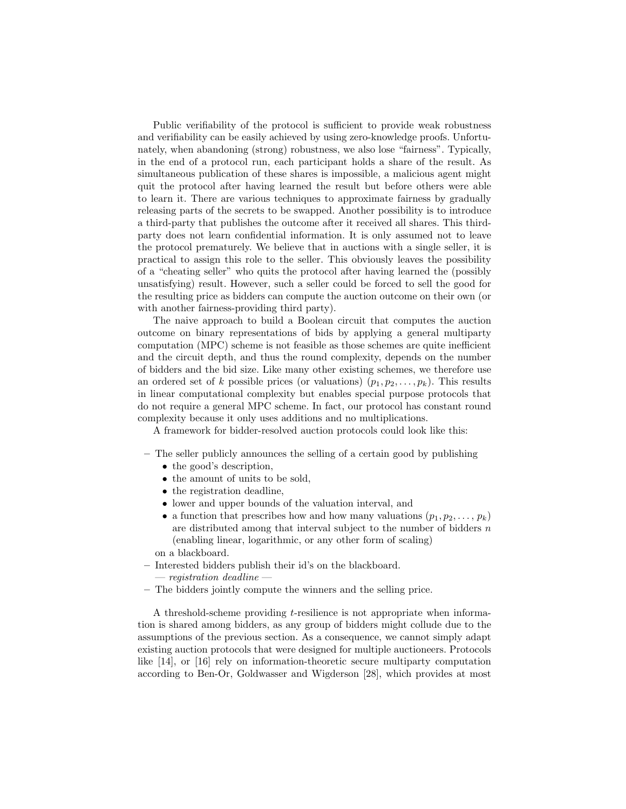Public verifiability of the protocol is sufficient to provide weak robustness and verifiability can be easily achieved by using zero-knowledge proofs. Unfortunately, when abandoning (strong) robustness, we also lose "fairness". Typically, in the end of a protocol run, each participant holds a share of the result. As simultaneous publication of these shares is impossible, a malicious agent might quit the protocol after having learned the result but before others were able to learn it. There are various techniques to approximate fairness by gradually releasing parts of the secrets to be swapped. Another possibility is to introduce a third-party that publishes the outcome after it received all shares. This thirdparty does not learn confidential information. It is only assumed not to leave the protocol prematurely. We believe that in auctions with a single seller, it is practical to assign this role to the seller. This obviously leaves the possibility of a "cheating seller" who quits the protocol after having learned the (possibly unsatisfying) result. However, such a seller could be forced to sell the good for the resulting price as bidders can compute the auction outcome on their own (or with another fairness-providing third party).

The naive approach to build a Boolean circuit that computes the auction outcome on binary representations of bids by applying a general multiparty computation (MPC) scheme is not feasible as those schemes are quite inefficient and the circuit depth, and thus the round complexity, depends on the number of bidders and the bid size. Like many other existing schemes, we therefore use an ordered set of k possible prices (or valuations)  $(p_1, p_2, \ldots, p_k)$ . This results in linear computational complexity but enables special purpose protocols that do not require a general MPC scheme. In fact, our protocol has constant round complexity because it only uses additions and no multiplications.

A framework for bidder-resolved auction protocols could look like this:

- The seller publicly announces the selling of a certain good by publishing
	- the good's description,
	- the amount of units to be sold,
	- the registration deadline.
	- lower and upper bounds of the valuation interval, and
	- a function that prescribes how and how many valuations  $(p_1, p_2, \ldots, p_k)$ are distributed among that interval subject to the number of bidders  $n$ (enabling linear, logarithmic, or any other form of scaling)
	- on a blackboard.
- Interested bidders publish their id's on the blackboard.
	- $-$  registration deadline  $-$
- The bidders jointly compute the winners and the selling price.

A threshold-scheme providing t-resilience is not appropriate when information is shared among bidders, as any group of bidders might collude due to the assumptions of the previous section. As a consequence, we cannot simply adapt existing auction protocols that were designed for multiple auctioneers. Protocols like [14], or [16] rely on information-theoretic secure multiparty computation according to Ben-Or, Goldwasser and Wigderson [28], which provides at most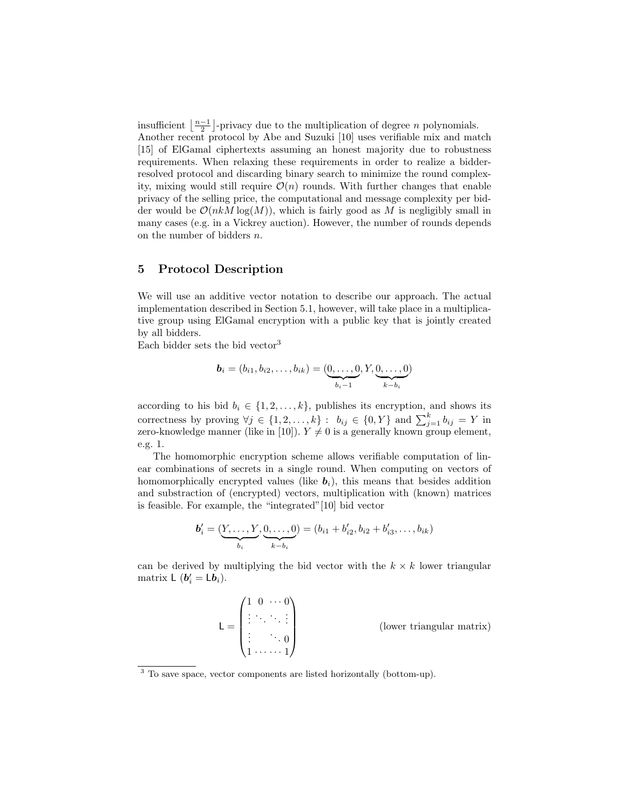insufficient  $\lfloor \frac{n-1}{2} \rfloor$ -privacy due to the multiplication of degree *n* polynomials. Another recent protocol by Abe and Suzuki [10] uses verifiable mix and match [15] of ElGamal ciphertexts assuming an honest majority due to robustness requirements. When relaxing these requirements in order to realize a bidderresolved protocol and discarding binary search to minimize the round complexity, mixing would still require  $\mathcal{O}(n)$  rounds. With further changes that enable privacy of the selling price, the computational and message complexity per bidder would be  $\mathcal{O}(nkM \log(M))$ , which is fairly good as M is negligibly small in many cases (e.g. in a Vickrey auction). However, the number of rounds depends on the number of bidders n.

# 5 Protocol Description

We will use an additive vector notation to describe our approach. The actual implementation described in Section 5.1, however, will take place in a multiplicative group using ElGamal encryption with a public key that is jointly created by all bidders.

Each bidder sets the bid vector<sup>3</sup>

$$
\bm{b}_i = (b_{i1}, b_{i2}, \dots, b_{ik}) = (\underbrace{0, \dots, 0}_{b_i-1}, Y, \underbrace{0, \dots, 0}_{k-b_i})
$$

according to his bid  $b_i \in \{1, 2, ..., k\}$ , publishes its encryption, and shows its correctness by proving  $\forall j \in \{1, 2, ..., k\} : b_{ij} \in \{0, Y\}$  and  $\sum_{j=1}^{k} b_{ij} = Y$  in zero-knowledge manner (like in [10]).  $Y \neq 0$  is a generally known group element, e.g. 1.

The homomorphic encryption scheme allows verifiable computation of linear combinations of secrets in a single round. When computing on vectors of homomorphically encrypted values (like  $b_i$ ), this means that besides addition and substraction of (encrypted) vectors, multiplication with (known) matrices is feasible. For example, the "integrated"[10] bid vector

$$
b'_{i} = (\underbrace{Y, \ldots, Y}_{b_{i}}, \underbrace{0, \ldots, 0}_{k-b_{i}}) = (b_{i1} + b'_{i2}, b_{i2} + b'_{i3}, \ldots, b_{ik})
$$

can be derived by multiplying the bid vector with the  $k \times k$  lower triangular matrix  $\mathsf{L}$   $(b_i' = \mathsf{L} \dot{b}_i)$ .

$$
L = \begin{pmatrix} 1 & 0 & \cdots & 0 \\ \vdots & \ddots & \ddots & \vdots \\ \vdots & & \ddots & 0 \\ 1 & \cdots & \cdots & 1 \end{pmatrix}
$$
 (lower triangular matrix)

<sup>&</sup>lt;sup>3</sup> To save space, vector components are listed horizontally (bottom-up).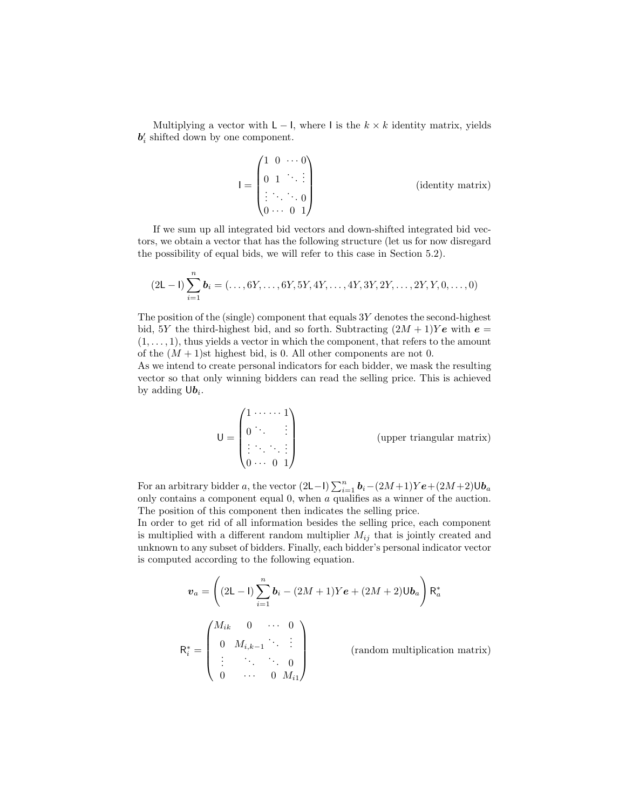Multiplying a vector with  $L - I$ , where I is the  $k \times k$  identity matrix, yields  $b_i'$  shifted down by one component.

$$
I = \begin{pmatrix} 1 & 0 & \cdots & 0 \\ 0 & 1 & \ddots & \vdots \\ \vdots & \ddots & \ddots & 0 \\ 0 & \cdots & 0 & 1 \end{pmatrix}
$$
 (identity matrix)

If we sum up all integrated bid vectors and down-shifted integrated bid vectors, we obtain a vector that has the following structure (let us for now disregard the possibility of equal bids, we will refer to this case in Section 5.2).

$$
(2L - I) \sum_{i=1}^{n} b_i = (\ldots, 6Y, \ldots, 6Y, 5Y, 4Y, \ldots, 4Y, 3Y, 2Y, \ldots, 2Y, Y, 0, \ldots, 0)
$$

The position of the (single) component that equals 3Y denotes the second-highest bid, 5Y the third-highest bid, and so forth. Subtracting  $(2M + 1)Ye$  with  $e =$  $(1, \ldots, 1)$ , thus yields a vector in which the component, that refers to the amount of the  $(M + 1)$ st highest bid, is 0. All other components are not 0.

As we intend to create personal indicators for each bidder, we mask the resulting vector so that only winning bidders can read the selling price. This is achieved by adding  $\mathsf{U}\boldsymbol{b}_i$ .

$$
= \begin{pmatrix} 1 & \cdots & \cdots & 1 \\ 0 & \ddots & & \vdots \\ \vdots & \ddots & \ddots & \vdots \\ 0 & \cdots & 0 & 1 \end{pmatrix}
$$
 (upper triangular matrix)

For an arbitrary bidder a, the vector  $(2l - l) \sum_{i=1}^{n} b_i - (2M + 1)Ye + (2M + 2)Ub_a$ only contains a component equal 0, when a qualifies as a winner of the auction. The position of this component then indicates the selling price.

 $\cup$ 

In order to get rid of all information besides the selling price, each component is multiplied with a different random multiplier  $M_{ij}$  that is jointly created and unknown to any subset of bidders. Finally, each bidder's personal indicator vector is computed according to the following equation.

$$
\mathbf{v}_{a} = \left( (2\mathsf{L} - \mathsf{I}) \sum_{i=1}^{n} \mathbf{b}_{i} - (2M + 1) Y \mathbf{e} + (2M + 2) \mathsf{U} \mathbf{b}_{a} \right) \mathsf{R}_{a}^{*}
$$

$$
\mathsf{R}_{i}^{*} = \begin{pmatrix} M_{ik} & 0 & \cdots & 0 \\ 0 & M_{i,k-1} & \ddots & \vdots \\ \vdots & \ddots & \ddots & 0 \\ 0 & \cdots & 0 & M_{i1} \end{pmatrix} \qquad \text{(random multiplication matrix)}
$$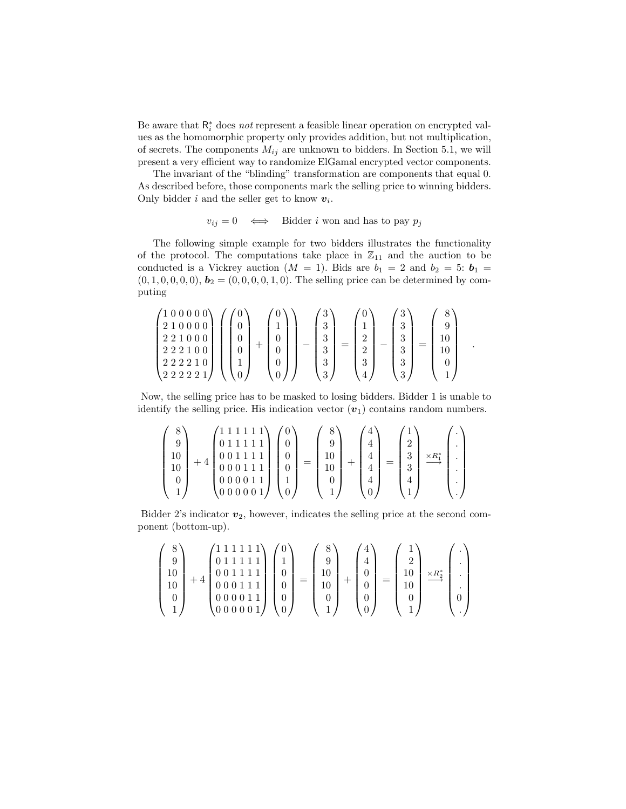Be aware that  $\mathsf{R}_i^*$  does *not* represent a feasible linear operation on encrypted values as the homomorphic property only provides addition, but not multiplication, of secrets. The components  $M_{ij}$  are unknown to bidders. In Section 5.1, we will present a very efficient way to randomize ElGamal encrypted vector components.

The invariant of the "blinding" transformation are components that equal 0. As described before, those components mark the selling price to winning bidders. Only bidder i and the seller get to know  $v_i$ .

$$
v_{ij} = 0 \iff \text{Bidder } i \text{ won and has to pay } p_j
$$

The following simple example for two bidders illustrates the functionality of the protocol. The computations take place in  $\mathbb{Z}_{11}$  and the auction to be conducted is a Vickrey auction  $(M = 1)$ . Bids are  $b_1 = 2$  and  $b_2 = 5$ :  $b_1 =$  $(0, 1, 0, 0, 0, 0),$   $\mathbf{b}_2 = (0, 0, 0, 0, 1, 0)$ . The selling price can be determined by computing

$$
\begin{pmatrix} 1 & 0 & 0 & 0 & 0 \\ 2 & 1 & 0 & 0 & 0 & 0 \\ 2 & 2 & 1 & 0 & 0 & 0 \\ 2 & 2 & 2 & 1 & 0 & 0 \\ 2 & 2 & 2 & 2 & 1 & 0 \end{pmatrix} \begin{pmatrix} 0 \\ 0 \\ 0 \\ 1 \\ 1 \end{pmatrix} + \begin{pmatrix} 0 \\ 1 \\ 0 \\ 0 \\ 0 \end{pmatrix} \end{pmatrix} - \begin{pmatrix} 3 \\ 3 \\ 3 \\ 3 \\ 3 \end{pmatrix} = \begin{pmatrix} 0 \\ 1 \\ 2 \\ 2 \\ 3 \\ 4 \end{pmatrix} - \begin{pmatrix} 3 \\ 3 \\ 3 \\ 3 \\ 3 \end{pmatrix} = \begin{pmatrix} 8 \\ 9 \\ 10 \\ 10 \\ 0 \\ 1 \end{pmatrix}
$$

.

Now, the selling price has to be masked to losing bidders. Bidder 1 is unable to identify the selling price. His indication vector  $(v_1)$  contains random numbers.

$$
\begin{pmatrix} 8 \\ 9 \\ 10 \\ 10 \\ 0 \\ 1 \end{pmatrix} + 4 \begin{pmatrix} 1 & 1 & 1 & 1 & 1 \\ 0 & 1 & 1 & 1 & 1 & 1 \\ 0 & 0 & 1 & 1 & 1 & 1 \\ 0 & 0 & 0 & 1 & 1 & 1 \\ 0 & 0 & 0 & 0 & 1 & 1 \\ 0 & 0 & 0 & 0 & 0 & 1 \end{pmatrix} \begin{pmatrix} 0 \\ 0 \\ 0 \\ 1 \\ 1 \end{pmatrix} = \begin{pmatrix} 8 \\ 9 \\ 10 \\ 10 \\ 0 \end{pmatrix} + \begin{pmatrix} 4 \\ 4 \\ 4 \\ 4 \\ 0 \end{pmatrix} = \begin{pmatrix} 1 \\ 2 \\ 3 \\ 3 \\ 4 \end{pmatrix} \times \mathbb{R}_{\frac{1}{4}}^{*}
$$

Bidder 2's indicator  $v_2$ , however, indicates the selling price at the second component (bottom-up).

$$
\begin{pmatrix} 8 \ 9 \ 10 \ 10 \ 10 \ 1 \end{pmatrix} + 4 \begin{pmatrix} 1 & 1 & 1 & 1 & 1 \\ 0 & 1 & 1 & 1 & 1 \\ 0 & 0 & 1 & 1 & 1 & 1 \\ 0 & 0 & 0 & 1 & 1 & 1 \\ 0 & 0 & 0 & 0 & 1 & 1 \\ 0 & 0 & 0 & 0 & 0 & 1 \end{pmatrix} \begin{pmatrix} 0 \ 1 \ 0 \ 0 \ 0 \end{pmatrix} = \begin{pmatrix} 8 \ 9 \ 10 \ 10 \ 10 \ 0 \end{pmatrix} + \begin{pmatrix} 4 \ 4 \ 0 \ 0 \ 0 \end{pmatrix} = \begin{pmatrix} 1 \ 2 \ 10 \ 10 \ 0 \end{pmatrix} \xrightarrow{\times R_2^*} \begin{pmatrix} \cdot \\ \cdot \\ \cdot \\ 0 \end{pmatrix}
$$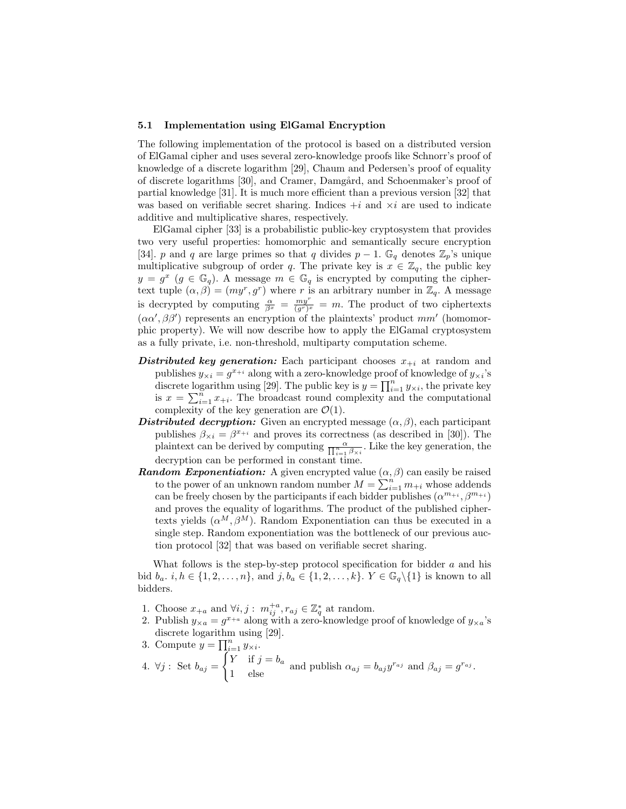#### 5.1 Implementation using ElGamal Encryption

The following implementation of the protocol is based on a distributed version of ElGamal cipher and uses several zero-knowledge proofs like Schnorr's proof of knowledge of a discrete logarithm [29], Chaum and Pedersen's proof of equality of discrete logarithms [30], and Cramer, Damgård, and Schoenmaker's proof of partial knowledge [31]. It is much more efficient than a previous version [32] that was based on verifiable secret sharing. Indices  $+i$  and  $\times i$  are used to indicate additive and multiplicative shares, respectively.

ElGamal cipher [33] is a probabilistic public-key cryptosystem that provides two very useful properties: homomorphic and semantically secure encryption [34]. p and q are large primes so that q divides  $p-1$ .  $\mathbb{G}_q$  denotes  $\mathbb{Z}_p$ 's unique multiplicative subgroup of order q. The private key is  $x \in \mathbb{Z}_q$ , the public key  $y = g^x$   $(g \in \mathbb{G}_q)$ . A message  $m \in \mathbb{G}_q$  is encrypted by computing the ciphertext tuple  $(\alpha, \beta) = (my^r, g^r)$  where r is an arbitrary number in  $\mathbb{Z}_q$ . A message is decrypted by computing  $\frac{\alpha}{\beta^x} = \frac{my^r}{(g^r)^3}$  $\frac{my}{(g^r)^x} = m$ . The product of two ciphertexts  $(\alpha \alpha', \beta \beta')$  represents an encryption of the plaintexts' product mm' (homomorphic property). We will now describe how to apply the ElGamal cryptosystem as a fully private, i.e. non-threshold, multiparty computation scheme.

- **Distributed key generation:** Each participant chooses  $x_{+i}$  at random and publishes  $y_{\times i} = g^{x_{+i}}$  along with a zero-knowledge proof of knowledge of  $y_{\times i}$ 's discrete logarithm using [29]. The public key is  $y = \prod_{i=1}^{n} y_{\times i}$ , the private key is  $x = \sum_{i=1}^{n} x_{+i}$ . The broadcast round complexity and the computational complexity of the key generation are  $\mathcal{O}(1)$ .
- Distributed decryption: Given an encrypted message  $(\alpha, \beta)$ , each participant publishes  $\beta_{\times i} = \beta^{x_{+i}}$  and proves its correctness (as described in [30]). The plaintext can be derived by computing  $\frac{\alpha}{\prod_{i=1}^n \beta_{\times i}}$ . Like the key generation, the decryption can be performed in constant time.
- **Random Exponentiation:** A given encrypted value  $(\alpha, \beta)$  can easily be raised to the power of an unknown random number  $M = \sum_{i=1}^{n} m_{+i}$  whose addends can be freely chosen by the participants if each bidder publishes  $(\alpha^{m_{+i}}, \beta^{m_{+i}})$ and proves the equality of logarithms. The product of the published ciphertexts yields  $(\alpha^M, \beta^M)$ . Random Exponentiation can thus be executed in a single step. Random exponentiation was the bottleneck of our previous auction protocol [32] that was based on verifiable secret sharing.

What follows is the step-by-step protocol specification for bidder  $a$  and his bid  $b_a$ .  $i, h \in \{1, 2, \ldots, n\}$ , and  $j, b_a \in \{1, 2, \ldots, k\}$ .  $Y \in \mathbb{G}_q \backslash \{1\}$  is known to all bidders.

- 1. Choose  $x_{+a}$  and  $\forall i, j : m_{ij}^{+a}, r_{aj} \in \mathbb{Z}_q^*$  at random.
- 2. Publish  $y_{\times a} = g^{x_{+a}}$  along with a zero-knowledge proof of knowledge of  $y_{\times a}$ 's discrete logarithm using [29].
- 3. Compute  $y = \prod_{i=1}^{n} y_{\times i}$ .
- 4.  $\forall j$ : Set  $b_{aj} =$  $\int Y$  if  $j = b_a$  $\begin{cases} a & \text{if } j = a \text{ and } \text{the } a_j = b_{aj}y^{r_{aj}} \text{ and } \beta_{aj} = g^{r_{aj}}. \end{cases}$ <br>1 else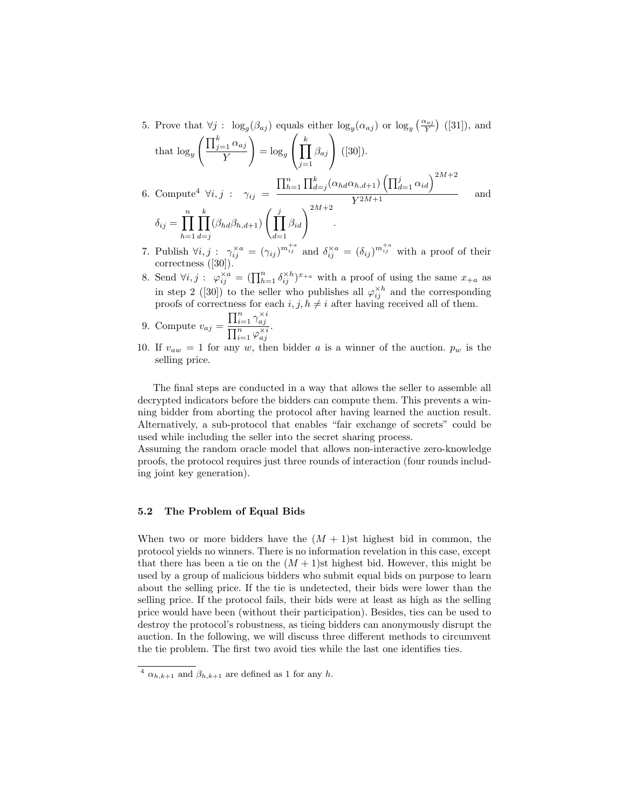5. Prove that  $\forall j: \log_g(\beta_{aj})$  equals either  $\log_y(\alpha_{aj})$  or  $\log_y(\frac{\alpha_{aj}}{Y})$  ([31]), and that  $\log_y$  $\prod_{j=1}^k \alpha_{aj}$ Y  $\setminus$  $=\log_g$  $\sqrt{ }$  $\left(\prod_{k=1}^{k} x_k\right)$  $j=1$  $\beta_{aj}$  $\setminus$  $(30).$ 

6. Compute<sup>4</sup> 
$$
\forall i, j : \gamma_{ij} = \frac{\prod_{h=1}^{n} \prod_{d=j}^{k} (\alpha_{hd} \alpha_{h,d+1}) \left( \prod_{d=1}^{j} \alpha_{id} \right)^{2M+2}}{Y^{2M+1}}
$$
 and  $\delta_{ij} = \prod_{h=1}^{n} \prod_{d=j}^{k} (\beta_{hd} \beta_{h,d+1}) \left( \prod_{d=1}^{j} \beta_{id} \right)^{2M+2}$ .

- 7. Publish  $\forall i, j : \gamma_{ij}^{\times a} = (\gamma_{ij})^{m_{ij}^{+a}}$  and  $\delta_{ij}^{\times a} = (\delta_{ij})^{m_{ij}^{+a}}$  with a proof of their correctness ([30]).
- 8. Send  $\forall i, j : \varphi_{ij}^{\times a} = (\prod_{h=1}^n \delta_{ij}^{\times h})^{x+a}$  with a proof of using the same  $x_{+a}$  as in step 2 ([30]) to the seller who publishes all  $\varphi_{ij}^{\times h}$  and the corresponding proofs of correctness for each  $i, j, h \neq i$  after having received all of them.

9. Compute 
$$
v_{aj} = \frac{\prod_{i=1}^{n} \gamma_{aj}^{\times i}}{\prod_{i=1}^{n} \varphi_{aj}^{\times i}}
$$
.

10. If  $v_{aw} = 1$  for any w, then bidder a is a winner of the auction.  $p_w$  is the selling price.

The final steps are conducted in a way that allows the seller to assemble all decrypted indicators before the bidders can compute them. This prevents a winning bidder from aborting the protocol after having learned the auction result. Alternatively, a sub-protocol that enables "fair exchange of secrets" could be used while including the seller into the secret sharing process.

Assuming the random oracle model that allows non-interactive zero-knowledge proofs, the protocol requires just three rounds of interaction (four rounds including joint key generation).

## 5.2 The Problem of Equal Bids

When two or more bidders have the  $(M + 1)$ st highest bid in common, the protocol yields no winners. There is no information revelation in this case, except that there has been a tie on the  $(M + 1)$ st highest bid. However, this might be used by a group of malicious bidders who submit equal bids on purpose to learn about the selling price. If the tie is undetected, their bids were lower than the selling price. If the protocol fails, their bids were at least as high as the selling price would have been (without their participation). Besides, ties can be used to destroy the protocol's robustness, as tieing bidders can anonymously disrupt the auction. In the following, we will discuss three different methods to circumvent the tie problem. The first two avoid ties while the last one identifies ties.

 $\frac{4}{4}$   $\alpha_{h,k+1}$  and  $\beta_{h,k+1}$  are defined as 1 for any h.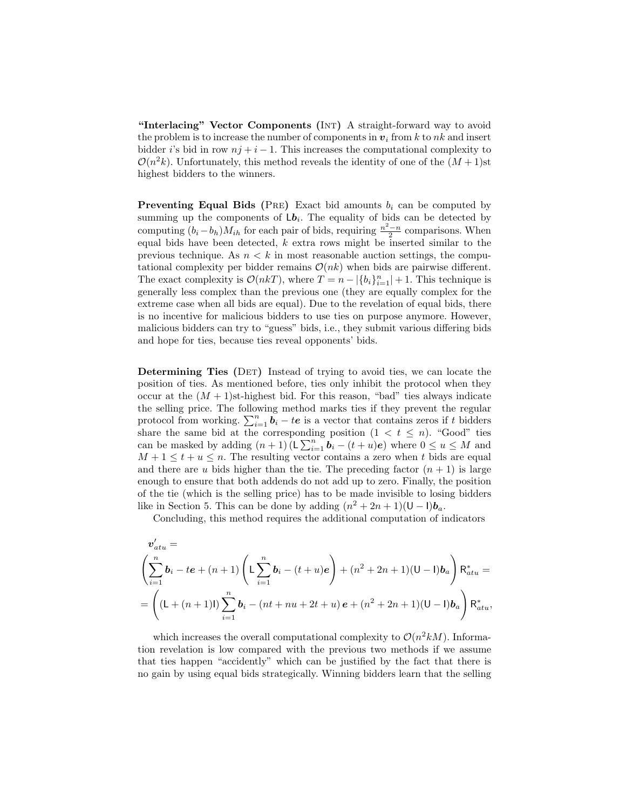"Interlacing" Vector Components (Int) A straight-forward way to avoid the problem is to increase the number of components in  $v_i$  from k to nk and insert bidder i's bid in row  $nj + i - 1$ . This increases the computational complexity to  $\mathcal{O}(n^2k)$ . Unfortunately, this method reveals the identity of one of the  $(M+1)$ st highest bidders to the winners.

**Preventing Equal Bids (PRE)** Exact bid amounts  $b_i$  can be computed by summing up the components of  $\mathsf{L}\mathbf{b}_i$ . The equality of bids can be detected by computing  $(b_i - b_h)M_{ih}$  for each pair of bids, requiring  $\frac{n^2 - n}{2}$  comparisons. When equal bids have been detected,  $k$  extra rows might be inserted similar to the previous technique. As  $n < k$  in most reasonable auction settings, the computational complexity per bidder remains  $\mathcal{O}(nk)$  when bids are pairwise different. The exact complexity is  $\mathcal{O}(nkT)$ , where  $T = n - |\{b_i\}_{i=1}^n| + 1$ . This technique is generally less complex than the previous one (they are equally complex for the extreme case when all bids are equal). Due to the revelation of equal bids, there is no incentive for malicious bidders to use ties on purpose anymore. However, malicious bidders can try to "guess" bids, i.e., they submit various differing bids and hope for ties, because ties reveal opponents' bids.

Determining Ties (DET) Instead of trying to avoid ties, we can locate the position of ties. As mentioned before, ties only inhibit the protocol when they occur at the  $(M + 1)$ st-highest bid. For this reason, "bad" ties always indicate the selling price. The following method marks ties if they prevent the regular protocol from working.  $\sum_{i=1}^{n} b_i - te$  is a vector that contains zeros if t bidders share the same bid at the corresponding position  $(1 \lt t \leq n)$ . "Good" ties can be masked by adding  $(n+1)$  ( $L \sum_{i=1}^{n} b_i - (t + u)e$ ) where  $0 \le u \le M$  and  $M + 1 \le t + u \le n$ . The resulting vector contains a zero when t bids are equal and there are u bids higher than the tie. The preceding factor  $(n + 1)$  is large enough to ensure that both addends do not add up to zero. Finally, the position of the tie (which is the selling price) has to be made invisible to losing bidders like in Section 5. This can be done by adding  $(n^2 + 2n + 1)(U - I)b_a$ .

Concluding, this method requires the additional computation of indicators

$$
\mathbf{v}_{atu}' = \left(\sum_{i=1}^{n} \mathbf{b}_i - t\mathbf{e} + (n+1) \left(\mathbf{L} \sum_{i=1}^{n} \mathbf{b}_i - (t+u)\mathbf{e}\right) + (n^2 + 2n + 1)(\mathbf{U} - \mathbf{I})\mathbf{b}_a\right) \mathbf{R}_{atu}^* =
$$

$$
= \left((\mathbf{L} + (n+1)\mathbf{I}) \sum_{i=1}^{n} \mathbf{b}_i - (nt + nu + 2t + u)\mathbf{e} + (n^2 + 2n + 1)(\mathbf{U} - \mathbf{I})\mathbf{b}_a\right) \mathbf{R}_{atu}^*,
$$

which increases the overall computational complexity to  $\mathcal{O}(n^2kM)$ . Information revelation is low compared with the previous two methods if we assume that ties happen "accidently" which can be justified by the fact that there is no gain by using equal bids strategically. Winning bidders learn that the selling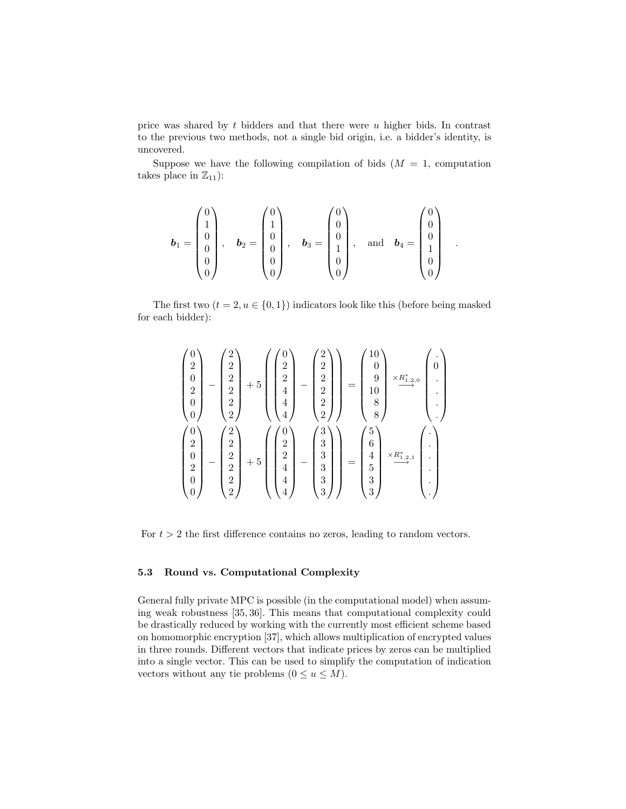price was shared by  $t$  bidders and that there were  $u$  higher bids. In contrast to the previous two methods, not a single bid origin, i.e. a bidder's identity, is uncovered.

Suppose we have the following compilation of bids  $(M = 1, 0)$  computation takes place in  $\mathbb{Z}_{11}$ :

$$
\boldsymbol{b}_1 = \begin{pmatrix} 0 \\ 1 \\ 0 \\ 0 \\ 0 \\ 0 \end{pmatrix}, \quad \boldsymbol{b}_2 = \begin{pmatrix} 0 \\ 1 \\ 0 \\ 0 \\ 0 \\ 0 \end{pmatrix}, \quad \boldsymbol{b}_3 = \begin{pmatrix} 0 \\ 0 \\ 0 \\ 1 \\ 0 \\ 0 \end{pmatrix}, \quad \text{and} \quad \boldsymbol{b}_4 = \begin{pmatrix} 0 \\ 0 \\ 0 \\ 1 \\ 0 \\ 0 \end{pmatrix}
$$

.

The first two  $(t = 2, u \in \{0, 1\})$  indicators look like this (before being masked for each bidder):

$$
\begin{pmatrix} 0 \\ 2 \\ 0 \\ 2 \\ 0 \\ 0 \end{pmatrix} - \begin{pmatrix} 2 \\ 2 \\ 2 \\ 2 \\ 2 \\ 0 \end{pmatrix} + 5 \begin{pmatrix} 0 \\ 2 \\ 2 \\ 4 \\ 4 \\ 4 \end{pmatrix} - \begin{pmatrix} 2 \\ 2 \\ 2 \\ 2 \\ 2 \\ 4 \end{pmatrix} = \begin{pmatrix} 2 \\ 2 \\ 2 \\ 2 \\ 2 \\ 3 \end{pmatrix} = \begin{pmatrix} 10 \\ 0 \\ 9 \\ 10 \\ 8 \\ 8 \end{pmatrix} \times R_{1,2,0}^* \begin{pmatrix} . \\ 0 \\ . \\ . \end{pmatrix}
$$

$$
\begin{pmatrix} 0 \\ 2 \\ 0 \\ 2 \\ 2 \\ 0 \end{pmatrix} - \begin{pmatrix} 2 \\ 2 \\ 2 \\ 2 \\ 2 \\ 2 \end{pmatrix} + 5 \begin{pmatrix} 0 \\ 2 \\ 2 \\ 4 \\ 4 \end{pmatrix} - \begin{pmatrix} 3 \\ 3 \\ 3 \\ 4 \\ 3 \end{pmatrix} = \begin{pmatrix} 5 \\ 6 \\ 4 \\ 5 \\ 3 \\ 3 \end{pmatrix} \times R_{1,2,1}^* \begin{pmatrix} . \\ . \\ . \\ . \end{pmatrix}
$$

For  $t > 2$  the first difference contains no zeros, leading to random vectors.

## 5.3 Round vs. Computational Complexity

General fully private MPC is possible (in the computational model) when assuming weak robustness [35, 36]. This means that computational complexity could be drastically reduced by working with the currently most efficient scheme based on homomorphic encryption [37], which allows multiplication of encrypted values in three rounds. Different vectors that indicate prices by zeros can be multiplied into a single vector. This can be used to simplify the computation of indication vectors without any tie problems  $(0 \le u \le M)$ .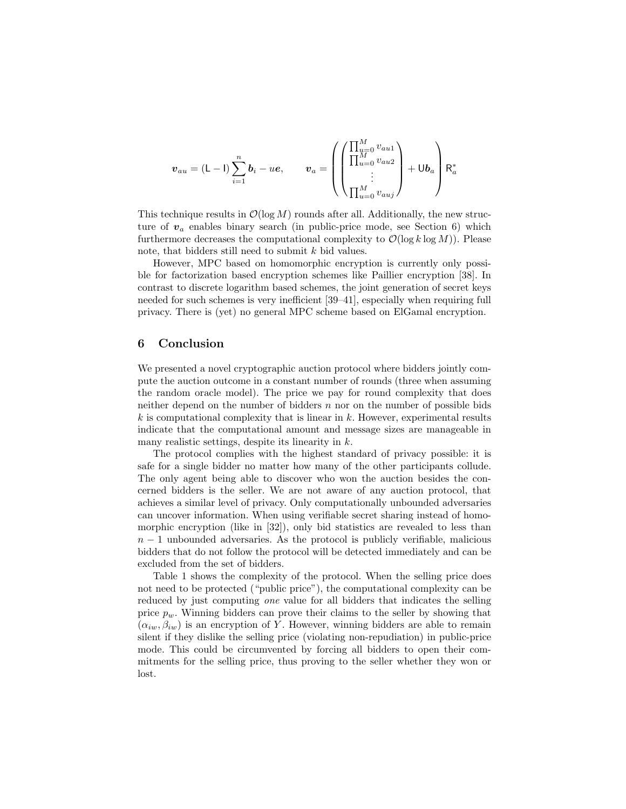$$
\boldsymbol{v}_{au}=(\textsf{L}-\textsf{I})\sum_{i=1}^{n}\boldsymbol{b}_{i}-u\boldsymbol{e}, \qquad \boldsymbol{v}_{a}=\left(\begin{pmatrix} \prod_{u=0}^{M}v_{au1}\\ \prod_{u=0}^{M}v_{au2}\\ \vdots\\ \prod_{u=0}^{M}v_{auj}\end{pmatrix}+\textsf{U}\boldsymbol{b}_{a}\right)\textsf{R}_{a}^{*}
$$

This technique results in  $\mathcal{O}(\log M)$  rounds after all. Additionally, the new structure of  $v_a$  enables binary search (in public-price mode, see Section 6) which furthermore decreases the computational complexity to  $\mathcal{O}(\log k \log M)$ ). Please note, that bidders still need to submit k bid values.

However, MPC based on homomorphic encryption is currently only possible for factorization based encryption schemes like Paillier encryption [38]. In contrast to discrete logarithm based schemes, the joint generation of secret keys needed for such schemes is very inefficient [39–41], especially when requiring full privacy. There is (yet) no general MPC scheme based on ElGamal encryption.

## 6 Conclusion

We presented a novel cryptographic auction protocol where bidders jointly compute the auction outcome in a constant number of rounds (three when assuming the random oracle model). The price we pay for round complexity that does neither depend on the number of bidders  $n$  nor on the number of possible bids  $k$  is computational complexity that is linear in k. However, experimental results indicate that the computational amount and message sizes are manageable in many realistic settings, despite its linearity in  $k$ .

The protocol complies with the highest standard of privacy possible: it is safe for a single bidder no matter how many of the other participants collude. The only agent being able to discover who won the auction besides the concerned bidders is the seller. We are not aware of any auction protocol, that achieves a similar level of privacy. Only computationally unbounded adversaries can uncover information. When using verifiable secret sharing instead of homomorphic encryption (like in [32]), only bid statistics are revealed to less than  $n-1$  unbounded adversaries. As the protocol is publicly verifiable, malicious bidders that do not follow the protocol will be detected immediately and can be excluded from the set of bidders.

Table 1 shows the complexity of the protocol. When the selling price does not need to be protected ("public price"), the computational complexity can be reduced by just computing one value for all bidders that indicates the selling price  $p_w$ . Winning bidders can prove their claims to the seller by showing that  $(\alpha_{iw}, \beta_{iw})$  is an encryption of Y. However, winning bidders are able to remain silent if they dislike the selling price (violating non-repudiation) in public-price mode. This could be circumvented by forcing all bidders to open their commitments for the selling price, thus proving to the seller whether they won or lost.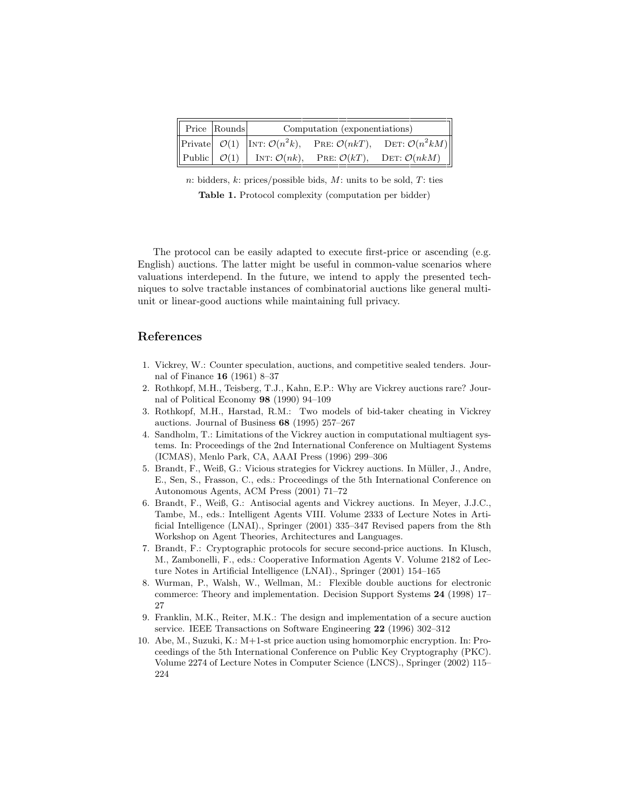| Price Rounds | Computation (exponentiations) |  |                                                                                                         |
|--------------|-------------------------------|--|---------------------------------------------------------------------------------------------------------|
|              |                               |  | Private $\mathcal{O}(1)$ INT: $\mathcal{O}(n^2k)$ , PRE: $\mathcal{O}(nkT)$ , DET: $\mathcal{O}(n^2kM)$ |
|              |                               |  | Public $\mathcal{O}(1)$ INT: $\mathcal{O}(nk)$ , PRE: $\mathcal{O}(kT)$ , DET: $\mathcal{O}(n k M)$     |

n: bidders, k: prices/possible bids,  $M$ : units to be sold,  $T$ : ties Table 1. Protocol complexity (computation per bidder)

The protocol can be easily adapted to execute first-price or ascending (e.g. English) auctions. The latter might be useful in common-value scenarios where valuations interdepend. In the future, we intend to apply the presented techniques to solve tractable instances of combinatorial auctions like general multiunit or linear-good auctions while maintaining full privacy.

# References

- 1. Vickrey, W.: Counter speculation, auctions, and competitive sealed tenders. Journal of Finance 16 (1961) 8–37
- 2. Rothkopf, M.H., Teisberg, T.J., Kahn, E.P.: Why are Vickrey auctions rare? Journal of Political Economy 98 (1990) 94–109
- 3. Rothkopf, M.H., Harstad, R.M.: Two models of bid-taker cheating in Vickrey auctions. Journal of Business 68 (1995) 257–267
- 4. Sandholm, T.: Limitations of the Vickrey auction in computational multiagent systems. In: Proceedings of the 2nd International Conference on Multiagent Systems (ICMAS), Menlo Park, CA, AAAI Press (1996) 299–306
- 5. Brandt, F., Weiß, G.: Vicious strategies for Vickrey auctions. In Müller, J., Andre, E., Sen, S., Frasson, C., eds.: Proceedings of the 5th International Conference on Autonomous Agents, ACM Press (2001) 71–72
- 6. Brandt, F., Weiß, G.: Antisocial agents and Vickrey auctions. In Meyer, J.J.C., Tambe, M., eds.: Intelligent Agents VIII. Volume 2333 of Lecture Notes in Artificial Intelligence (LNAI)., Springer (2001) 335–347 Revised papers from the 8th Workshop on Agent Theories, Architectures and Languages.
- 7. Brandt, F.: Cryptographic protocols for secure second-price auctions. In Klusch, M., Zambonelli, F., eds.: Cooperative Information Agents V. Volume 2182 of Lecture Notes in Artificial Intelligence (LNAI)., Springer (2001) 154–165
- 8. Wurman, P., Walsh, W., Wellman, M.: Flexible double auctions for electronic commerce: Theory and implementation. Decision Support Systems 24 (1998) 17– 27
- 9. Franklin, M.K., Reiter, M.K.: The design and implementation of a secure auction service. IEEE Transactions on Software Engineering 22 (1996) 302–312
- 10. Abe, M., Suzuki, K.: M+1-st price auction using homomorphic encryption. In: Proceedings of the 5th International Conference on Public Key Cryptography (PKC). Volume 2274 of Lecture Notes in Computer Science (LNCS)., Springer (2002) 115– 224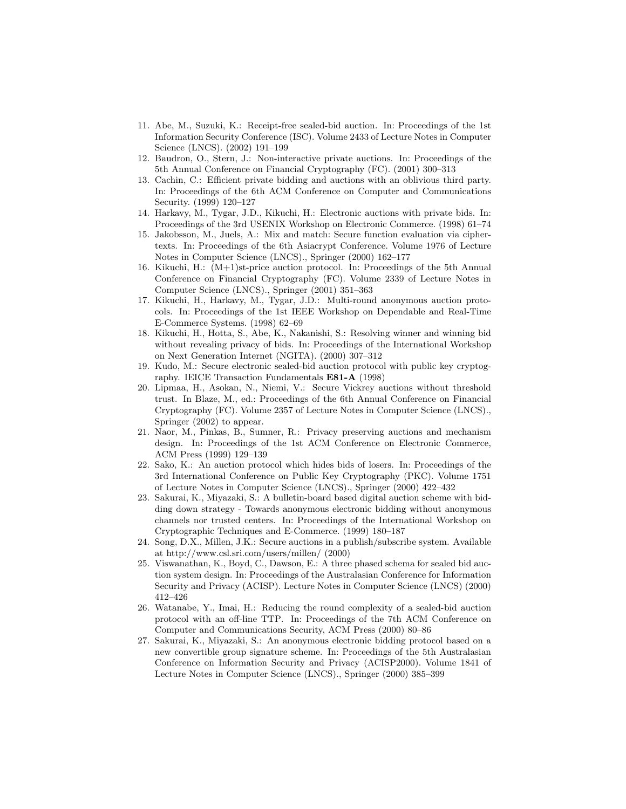- 11. Abe, M., Suzuki, K.: Receipt-free sealed-bid auction. In: Proceedings of the 1st Information Security Conference (ISC). Volume 2433 of Lecture Notes in Computer Science (LNCS). (2002) 191–199
- 12. Baudron, O., Stern, J.: Non-interactive private auctions. In: Proceedings of the 5th Annual Conference on Financial Cryptography (FC). (2001) 300–313
- 13. Cachin, C.: Efficient private bidding and auctions with an oblivious third party. In: Proceedings of the 6th ACM Conference on Computer and Communications Security. (1999) 120–127
- 14. Harkavy, M., Tygar, J.D., Kikuchi, H.: Electronic auctions with private bids. In: Proceedings of the 3rd USENIX Workshop on Electronic Commerce. (1998) 61–74
- 15. Jakobsson, M., Juels, A.: Mix and match: Secure function evaluation via ciphertexts. In: Proceedings of the 6th Asiacrypt Conference. Volume 1976 of Lecture Notes in Computer Science (LNCS)., Springer (2000) 162–177
- 16. Kikuchi, H.: (M+1)st-price auction protocol. In: Proceedings of the 5th Annual Conference on Financial Cryptography (FC). Volume 2339 of Lecture Notes in Computer Science (LNCS)., Springer (2001) 351–363
- 17. Kikuchi, H., Harkavy, M., Tygar, J.D.: Multi-round anonymous auction protocols. In: Proceedings of the 1st IEEE Workshop on Dependable and Real-Time E-Commerce Systems. (1998) 62–69
- 18. Kikuchi, H., Hotta, S., Abe, K., Nakanishi, S.: Resolving winner and winning bid without revealing privacy of bids. In: Proceedings of the International Workshop on Next Generation Internet (NGITA). (2000) 307–312
- 19. Kudo, M.: Secure electronic sealed-bid auction protocol with public key cryptography. IEICE Transaction Fundamentals E81-A (1998)
- 20. Lipmaa, H., Asokan, N., Niemi, V.: Secure Vickrey auctions without threshold trust. In Blaze, M., ed.: Proceedings of the 6th Annual Conference on Financial Cryptography (FC). Volume 2357 of Lecture Notes in Computer Science (LNCS)., Springer (2002) to appear.
- 21. Naor, M., Pinkas, B., Sumner, R.: Privacy preserving auctions and mechanism design. In: Proceedings of the 1st ACM Conference on Electronic Commerce, ACM Press (1999) 129–139
- 22. Sako, K.: An auction protocol which hides bids of losers. In: Proceedings of the 3rd International Conference on Public Key Cryptography (PKC). Volume 1751 of Lecture Notes in Computer Science (LNCS)., Springer (2000) 422–432
- 23. Sakurai, K., Miyazaki, S.: A bulletin-board based digital auction scheme with bidding down strategy - Towards anonymous electronic bidding without anonymous channels nor trusted centers. In: Proceedings of the International Workshop on Cryptographic Techniques and E-Commerce. (1999) 180–187
- 24. Song, D.X., Millen, J.K.: Secure auctions in a publish/subscribe system. Available at http://www.csl.sri.com/users/millen/ (2000)
- 25. Viswanathan, K., Boyd, C., Dawson, E.: A three phased schema for sealed bid auction system design. In: Proceedings of the Australasian Conference for Information Security and Privacy (ACISP). Lecture Notes in Computer Science (LNCS) (2000) 412–426
- 26. Watanabe, Y., Imai, H.: Reducing the round complexity of a sealed-bid auction protocol with an off-line TTP. In: Proceedings of the 7th ACM Conference on Computer and Communications Security, ACM Press (2000) 80–86
- 27. Sakurai, K., Miyazaki, S.: An anonymous electronic bidding protocol based on a new convertible group signature scheme. In: Proceedings of the 5th Australasian Conference on Information Security and Privacy (ACISP2000). Volume 1841 of Lecture Notes in Computer Science (LNCS)., Springer (2000) 385–399